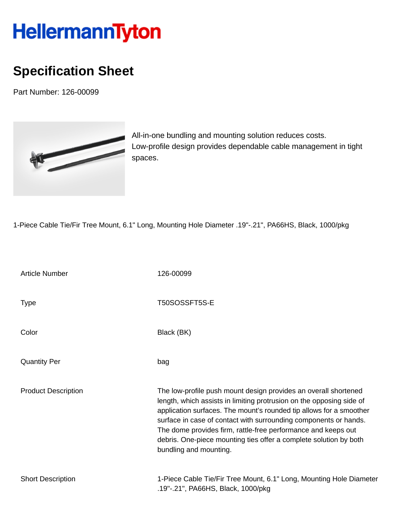## HellermannTyton

## **Specification Sheet**

Part Number: 126-00099



All-in-one bundling and mounting solution reduces costs. Low-profile design provides dependable cable management in tight spaces.

1-Piece Cable Tie/Fir Tree Mount, 6.1" Long, Mounting Hole Diameter .19"-.21", PA66HS, Black, 1000/pkg

| <b>Article Number</b>      | 126-00099                                                                                                                                                                                                                                                                                                                                                                                                                                          |
|----------------------------|----------------------------------------------------------------------------------------------------------------------------------------------------------------------------------------------------------------------------------------------------------------------------------------------------------------------------------------------------------------------------------------------------------------------------------------------------|
| <b>Type</b>                | T50SOSSFT5S-E                                                                                                                                                                                                                                                                                                                                                                                                                                      |
| Color                      | Black (BK)                                                                                                                                                                                                                                                                                                                                                                                                                                         |
| <b>Quantity Per</b>        | bag                                                                                                                                                                                                                                                                                                                                                                                                                                                |
| <b>Product Description</b> | The low-profile push mount design provides an overall shortened<br>length, which assists in limiting protrusion on the opposing side of<br>application surfaces. The mount's rounded tip allows for a smoother<br>surface in case of contact with surrounding components or hands.<br>The dome provides firm, rattle-free performance and keeps out<br>debris. One-piece mounting ties offer a complete solution by both<br>bundling and mounting. |
| <b>Short Description</b>   | 1-Piece Cable Tie/Fir Tree Mount, 6.1" Long, Mounting Hole Diameter<br>.19"-.21", PA66HS, Black, 1000/pkg                                                                                                                                                                                                                                                                                                                                          |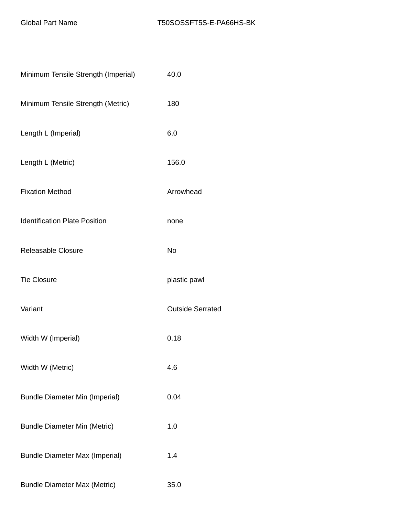| Minimum Tensile Strength (Imperial)   | 40.0                    |  |
|---------------------------------------|-------------------------|--|
| Minimum Tensile Strength (Metric)     | 180                     |  |
| Length L (Imperial)                   | 6.0                     |  |
| Length L (Metric)                     | 156.0                   |  |
| <b>Fixation Method</b>                | Arrowhead               |  |
| <b>Identification Plate Position</b>  | none                    |  |
| <b>Releasable Closure</b>             | <b>No</b>               |  |
| <b>Tie Closure</b>                    | plastic pawl            |  |
| Variant                               | <b>Outside Serrated</b> |  |
| Width W (Imperial)                    | 0.18                    |  |
| Width W (Metric)                      | 4.6                     |  |
| <b>Bundle Diameter Min (Imperial)</b> | 0.04                    |  |
| <b>Bundle Diameter Min (Metric)</b>   | 1.0                     |  |
| <b>Bundle Diameter Max (Imperial)</b> | 1.4                     |  |
| <b>Bundle Diameter Max (Metric)</b>   | 35.0                    |  |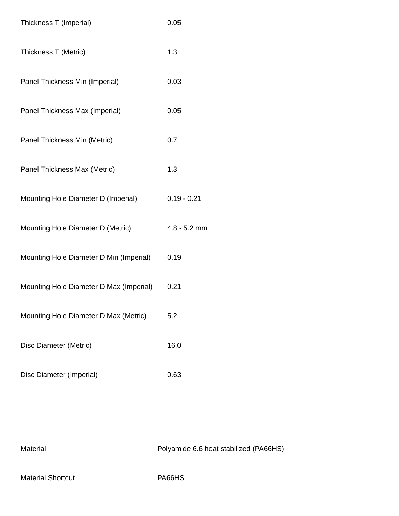| Thickness T (Imperial)                  | 0.05           |
|-----------------------------------------|----------------|
| Thickness T (Metric)                    | 1.3            |
| Panel Thickness Min (Imperial)          | 0.03           |
| Panel Thickness Max (Imperial)          | 0.05           |
| Panel Thickness Min (Metric)            | 0.7            |
| Panel Thickness Max (Metric)            | 1.3            |
| Mounting Hole Diameter D (Imperial)     | $0.19 - 0.21$  |
| Mounting Hole Diameter D (Metric)       | $4.8 - 5.2$ mm |
| Mounting Hole Diameter D Min (Imperial) | 0.19           |
| Mounting Hole Diameter D Max (Imperial) | 0.21           |
| Mounting Hole Diameter D Max (Metric)   | 5.2            |
| Disc Diameter (Metric)                  | 16.0           |
| Disc Diameter (Imperial)                | 0.63           |

Material Material Polyamide 6.6 heat stabilized (PA66HS)